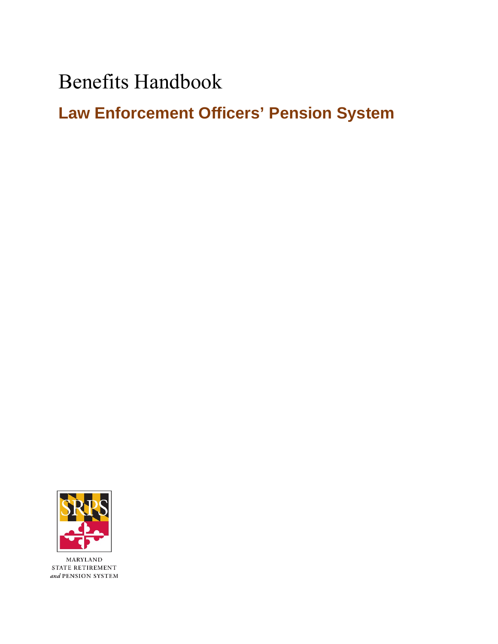Benefits Handbook

**Law Enforcement Officers' Pension System** 



 $\mbox{MARYLAND}$ STATE RETIREMENT  $\emph{and}$  PENSION SYSTEM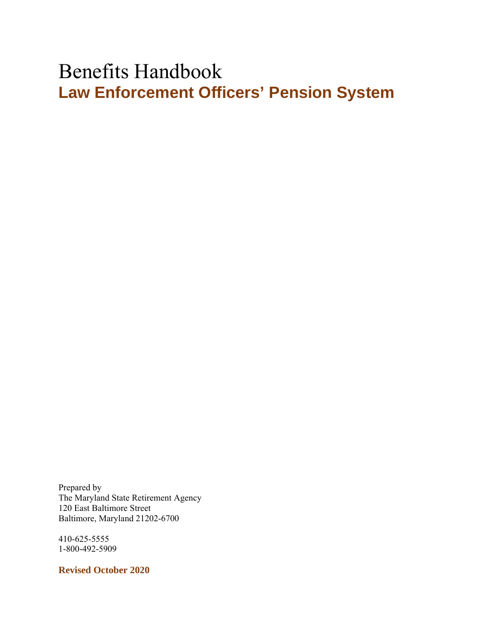# Benefits Handbook **Law Enforcement Officers' Pension System**

Prepared by The Maryland State Retirement Agency 120 East Baltimore Street Baltimore, Maryland 21202-6700

410-625-5555 1-800-492-5909

**Revised October 2020**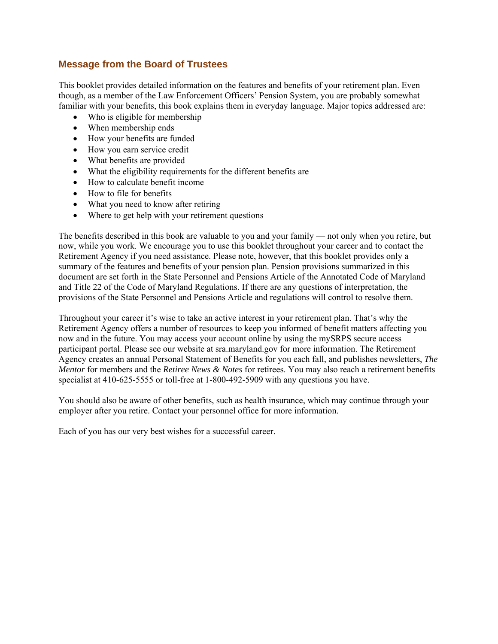# **Message from the Board of Trustees**

This booklet provides detailed information on the features and benefits of your retirement plan. Even though, as a member of the Law Enforcement Officers' Pension System, you are probably somewhat familiar with your benefits, this book explains them in everyday language. Major topics addressed are:

- Who is eligible for membership
- When membership ends
- How your benefits are funded
- How you earn service credit
- What benefits are provided
- What the eligibility requirements for the different benefits are
- How to calculate benefit income
- How to file for benefits
- What you need to know after retiring
- Where to get help with your retirement questions

The benefits described in this book are valuable to you and your family — not only when you retire, but now, while you work. We encourage you to use this booklet throughout your career and to contact the Retirement Agency if you need assistance. Please note, however, that this booklet provides only a summary of the features and benefits of your pension plan. Pension provisions summarized in this document are set forth in the State Personnel and Pensions Article of the Annotated Code of Maryland and Title 22 of the Code of Maryland Regulations. If there are any questions of interpretation, the provisions of the State Personnel and Pensions Article and regulations will control to resolve them.

Throughout your career it's wise to take an active interest in your retirement plan. That's why the Retirement Agency offers a number of resources to keep you informed of benefit matters affecting you now and in the future. You may access your account online by using the mySRPS secure access participant portal. Please see our website at sra.maryland.gov for more information. The Retirement Agency creates an annual Personal Statement of Benefits for you each fall, and publishes newsletters, *The Mentor* for members and the *Retiree News & Notes* for retirees. You may also reach a retirement benefits specialist at 410-625-5555 or toll-free at 1-800-492-5909 with any questions you have.

You should also be aware of other benefits, such as health insurance, which may continue through your employer after you retire. Contact your personnel office for more information.

Each of you has our very best wishes for a successful career.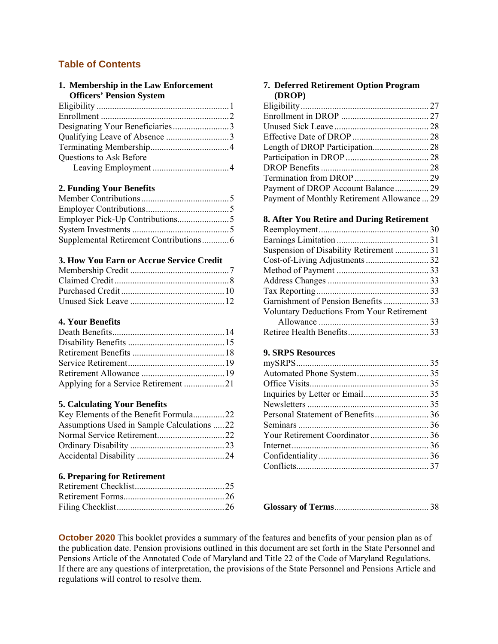# **Table of Contents**

| 1. Membership in the Law Enforcement |  |
|--------------------------------------|--|
| <b>Officers' Pension System</b>      |  |
|                                      |  |
|                                      |  |
|                                      |  |
|                                      |  |
|                                      |  |
| Questions to Ask Before              |  |
|                                      |  |

### **2. Funding Your Benefits**

#### **3. How You Earn or Accrue Service Credit**

# **4. Your Benefits**

| Applying for a Service Retirement 21 |  |
|--------------------------------------|--|

#### **5. Calculating Your Benefits**

| Key Elements of the Benefit Formula22      |  |
|--------------------------------------------|--|
| Assumptions Used in Sample Calculations 22 |  |
| Normal Service Retirement22                |  |
|                                            |  |
|                                            |  |

#### **6. Preparing for Retirement**

#### **7. Deferred Retirement Option Program (DROP)**

| Payment of DROP Account Balance 29          |  |
|---------------------------------------------|--|
| Payment of Monthly Retirement Allowance  29 |  |

#### **8. After You Retire and During Retirement**

| Suspension of Disability Retirement  31          |  |
|--------------------------------------------------|--|
|                                                  |  |
|                                                  |  |
|                                                  |  |
|                                                  |  |
|                                                  |  |
| <b>Voluntary Deductions From Your Retirement</b> |  |
|                                                  |  |
|                                                  |  |

#### **9. SRPS Resources**

**Glossary of Terms** .......................................... 38

**October 2020** This booklet provides a summary of the features and benefits of your pension plan as of the publication date. Pension provisions outlined in this document are set forth in the State Personnel and Pensions Article of the Annotated Code of Maryland and Title 22 of the Code of Maryland Regulations. If there are any questions of interpretation, the provisions of the State Personnel and Pensions Article and regulations will control to resolve them.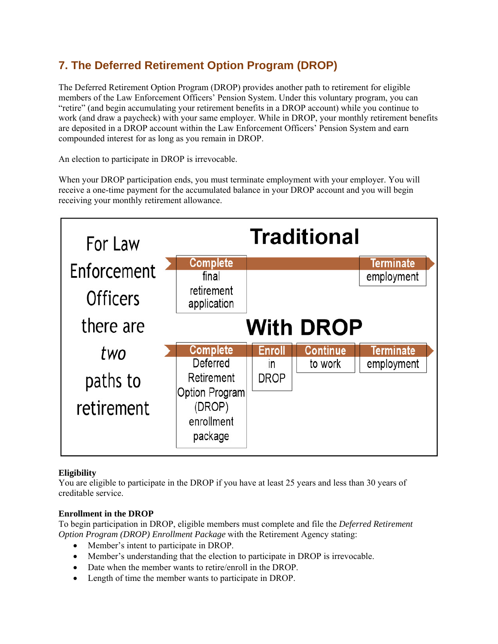# **7. The Deferred Retirement Option Program (DROP)**

The Deferred Retirement Option Program (DROP) provides another path to retirement for eligible members of the Law Enforcement Officers' Pension System. Under this voluntary program, you can "retire" (and begin accumulating your retirement benefits in a DROP account) while you continue to work (and draw a paycheck) with your same employer. While in DROP, your monthly retirement benefits are deposited in a DROP account within the Law Enforcement Officers' Pension System and earn compounded interest for as long as you remain in DROP.

An election to participate in DROP is irrevocable.

When your DROP participation ends, you must terminate employment with your employer. You will receive a one-time payment for the accumulated balance in your DROP account and you will begin receiving your monthly retirement allowance.



# **Eligibility**

You are eligible to participate in the DROP if you have at least 25 years and less than 30 years of creditable service.

# **Enrollment in the DROP**

To begin participation in DROP, eligible members must complete and file the *Deferred Retirement Option Program (DROP) Enrollment Package* with the Retirement Agency stating:

- Member's intent to participate in DROP.
- Member's understanding that the election to participate in DROP is irrevocable.
- Date when the member wants to retire/enroll in the DROP.
- Length of time the member wants to participate in DROP.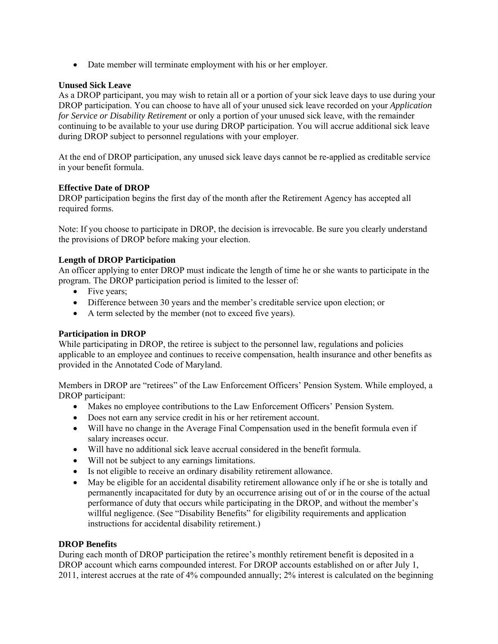Date member will terminate employment with his or her employer.

# **Unused Sick Leave**

As a DROP participant, you may wish to retain all or a portion of your sick leave days to use during your DROP participation. You can choose to have all of your unused sick leave recorded on your *Application for Service or Disability Retirement* or only a portion of your unused sick leave, with the remainder continuing to be available to your use during DROP participation. You will accrue additional sick leave during DROP subject to personnel regulations with your employer.

At the end of DROP participation, any unused sick leave days cannot be re-applied as creditable service in your benefit formula.

# **Effective Date of DROP**

DROP participation begins the first day of the month after the Retirement Agency has accepted all required forms.

Note: If you choose to participate in DROP, the decision is irrevocable. Be sure you clearly understand the provisions of DROP before making your election.

# **Length of DROP Participation**

An officer applying to enter DROP must indicate the length of time he or she wants to participate in the program. The DROP participation period is limited to the lesser of:

- Five years;
- Difference between 30 years and the member's creditable service upon election; or
- A term selected by the member (not to exceed five years).

# **Participation in DROP**

While participating in DROP, the retiree is subject to the personnel law, regulations and policies applicable to an employee and continues to receive compensation, health insurance and other benefits as provided in the Annotated Code of Maryland.

Members in DROP are "retirees" of the Law Enforcement Officers' Pension System. While employed, a DROP participant:

- Makes no employee contributions to the Law Enforcement Officers' Pension System.
- Does not earn any service credit in his or her retirement account.
- Will have no change in the Average Final Compensation used in the benefit formula even if salary increases occur.
- Will have no additional sick leave accrual considered in the benefit formula.
- Will not be subject to any earnings limitations.
- Is not eligible to receive an ordinary disability retirement allowance.
- May be eligible for an accidental disability retirement allowance only if he or she is totally and permanently incapacitated for duty by an occurrence arising out of or in the course of the actual performance of duty that occurs while participating in the DROP, and without the member's willful negligence. (See "Disability Benefits" for eligibility requirements and application instructions for accidental disability retirement.)

# **DROP Benefits**

During each month of DROP participation the retiree's monthly retirement benefit is deposited in a DROP account which earns compounded interest. For DROP accounts established on or after July 1, 2011, interest accrues at the rate of 4% compounded annually; 2% interest is calculated on the beginning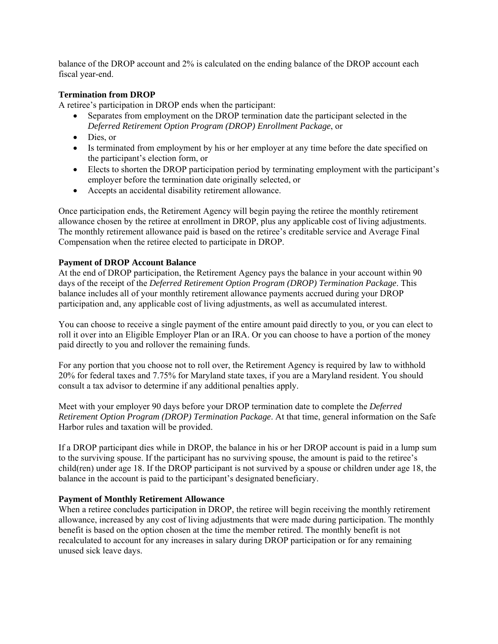balance of the DROP account and 2% is calculated on the ending balance of the DROP account each fiscal year-end.

#### **Termination from DROP**

A retiree's participation in DROP ends when the participant:

- Separates from employment on the DROP termination date the participant selected in the *Deferred Retirement Option Program (DROP) Enrollment Package*, or
- Dies, or
- Is terminated from employment by his or her employer at any time before the date specified on the participant's election form, or
- Elects to shorten the DROP participation period by terminating employment with the participant's employer before the termination date originally selected, or
- Accepts an accidental disability retirement allowance.

Once participation ends, the Retirement Agency will begin paying the retiree the monthly retirement allowance chosen by the retiree at enrollment in DROP, plus any applicable cost of living adjustments. The monthly retirement allowance paid is based on the retiree's creditable service and Average Final Compensation when the retiree elected to participate in DROP.

#### **Payment of DROP Account Balance**

At the end of DROP participation, the Retirement Agency pays the balance in your account within 90 days of the receipt of the *Deferred Retirement Option Program (DROP) Termination Package*. This balance includes all of your monthly retirement allowance payments accrued during your DROP participation and, any applicable cost of living adjustments, as well as accumulated interest.

You can choose to receive a single payment of the entire amount paid directly to you, or you can elect to roll it over into an Eligible Employer Plan or an IRA. Or you can choose to have a portion of the money paid directly to you and rollover the remaining funds.

For any portion that you choose not to roll over, the Retirement Agency is required by law to withhold 20% for federal taxes and 7.75% for Maryland state taxes, if you are a Maryland resident. You should consult a tax advisor to determine if any additional penalties apply.

Meet with your employer 90 days before your DROP termination date to complete the *Deferred Retirement Option Program (DROP) Termination Package*. At that time, general information on the Safe Harbor rules and taxation will be provided.

If a DROP participant dies while in DROP, the balance in his or her DROP account is paid in a lump sum to the surviving spouse. If the participant has no surviving spouse, the amount is paid to the retiree's child(ren) under age 18. If the DROP participant is not survived by a spouse or children under age 18, the balance in the account is paid to the participant's designated beneficiary.

#### **Payment of Monthly Retirement Allowance**

When a retiree concludes participation in DROP, the retiree will begin receiving the monthly retirement allowance, increased by any cost of living adjustments that were made during participation. The monthly benefit is based on the option chosen at the time the member retired. The monthly benefit is not recalculated to account for any increases in salary during DROP participation or for any remaining unused sick leave days.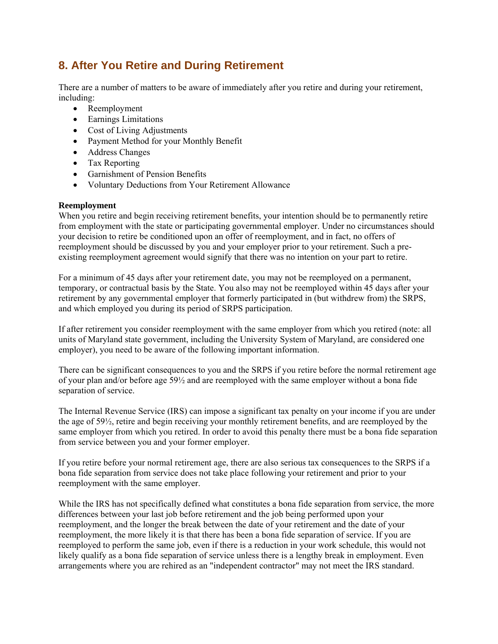# **8. After You Retire and During Retirement**

There are a number of matters to be aware of immediately after you retire and during your retirement, including:

- Reemployment
- Earnings Limitations
- Cost of Living Adjustments
- Payment Method for your Monthly Benefit
- Address Changes
- Tax Reporting
- Garnishment of Pension Benefits
- Voluntary Deductions from Your Retirement Allowance

#### **Reemployment**

When you retire and begin receiving retirement benefits, your intention should be to permanently retire from employment with the state or participating governmental employer. Under no circumstances should your decision to retire be conditioned upon an offer of reemployment, and in fact, no offers of reemployment should be discussed by you and your employer prior to your retirement. Such a preexisting reemployment agreement would signify that there was no intention on your part to retire.

For a minimum of 45 days after your retirement date, you may not be reemployed on a permanent, temporary, or contractual basis by the State. You also may not be reemployed within 45 days after your retirement by any governmental employer that formerly participated in (but withdrew from) the SRPS, and which employed you during its period of SRPS participation.

If after retirement you consider reemployment with the same employer from which you retired (note: all units of Maryland state government, including the University System of Maryland, are considered one employer), you need to be aware of the following important information.

There can be significant consequences to you and the SRPS if you retire before the normal retirement age of your plan and/or before age 59½ and are reemployed with the same employer without a bona fide separation of service.

The Internal Revenue Service (IRS) can impose a significant tax penalty on your income if you are under the age of 59½, retire and begin receiving your monthly retirement benefits, and are reemployed by the same employer from which you retired. In order to avoid this penalty there must be a bona fide separation from service between you and your former employer.

If you retire before your normal retirement age, there are also serious tax consequences to the SRPS if a bona fide separation from service does not take place following your retirement and prior to your reemployment with the same employer.

While the IRS has not specifically defined what constitutes a bona fide separation from service, the more differences between your last job before retirement and the job being performed upon your reemployment, and the longer the break between the date of your retirement and the date of your reemployment, the more likely it is that there has been a bona fide separation of service. If you are reemployed to perform the same job, even if there is a reduction in your work schedule, this would not likely qualify as a bona fide separation of service unless there is a lengthy break in employment. Even arrangements where you are rehired as an "independent contractor" may not meet the IRS standard.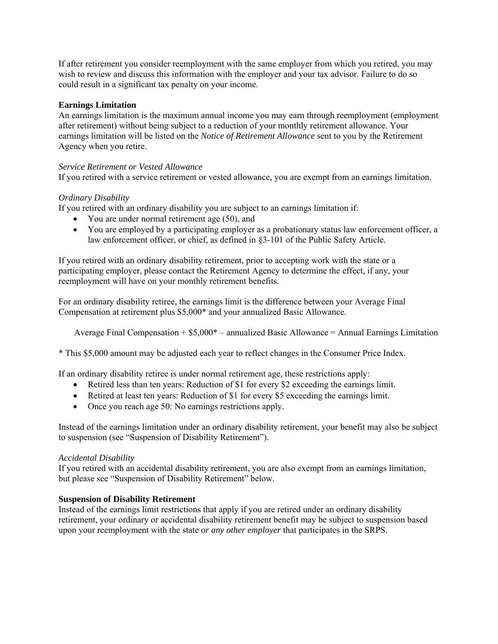If after retirement you consider reemployment with the same employer from which you retired, you may wish to review and discuss this information with the employer and your tax advisor. Failure to do so could result in a significant tax penalty on your income.

#### **Earnings Limitation**

An earnings limitation is the maximum annual income you may earn through reemployment (employment after retirement) without being subject to a reduction of your monthly retirement allowance. Your earnings limitation will be listed on the *Notice of Retirement Allowance* sent to you by the Retirement Agency when you retire.

#### *Service Retirement or Vested Allowance*

If you retired with a service retirement or vested allowance, you are exempt from an earnings limitation.

### *Ordinary Disability*

If you retired with an ordinary disability you are subject to an earnings limitation if:

- You are under normal retirement age (50), and
- You are employed by a participating employer as a probationary status law enforcement officer, a law enforcement officer, or chief, as defined in §3-101 of the Public Safety Article.

If you retired with an ordinary disability retirement, prior to accepting work with the state or a participating employer, please contact the Retirement Agency to determine the effect, if any, your reemployment will have on your monthly retirement benefits.

For an ordinary disability retiree, the earnings limit is the difference between your Average Final Compensation at retirement plus \$5,000\* and your annualized Basic Allowance.

Average Final Compensation  $+ $5,000^* -$  annualized Basic Allowance  $=$  Annual Earnings Limitation

\* This \$5,000 amount may be adjusted each year to reflect changes in the Consumer Price Index.

If an ordinary disability retiree is under normal retirement age, these restrictions apply:

- Retired less than ten years: Reduction of \$1 for every \$2 exceeding the earnings limit.
- Retired at least ten years: Reduction of \$1 for every \$5 exceeding the earnings limit.
- Once you reach age 50: No earnings restrictions apply.

Instead of the earnings limitation under an ordinary disability retirement, your benefit may also be subject to suspension (see "Suspension of Disability Retirement").

#### *Accidental Disability*

If you retired with an accidental disability retirement, you are also exempt from an earnings limitation, but please see "Suspension of Disability Retirement" below.

#### **Suspension of Disability Retirement**

Instead of the earnings limit restrictions that apply if you are retired under an ordinary disability retirement, your ordinary or accidental disability retirement benefit may be subject to suspension based upon your reemployment with the state *or any other employer* that participates in the SRPS.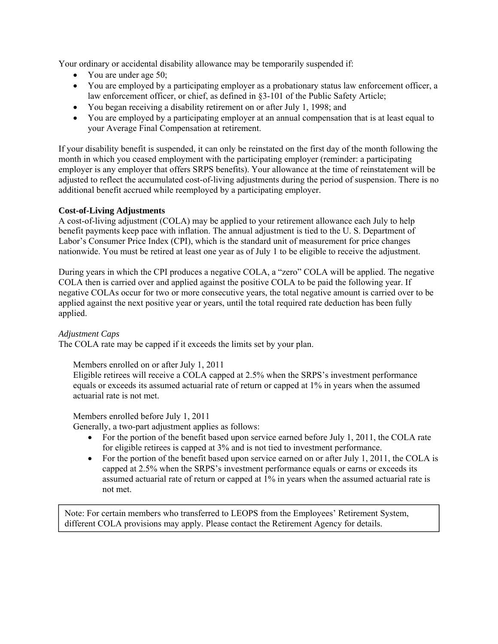Your ordinary or accidental disability allowance may be temporarily suspended if:

- You are under age 50;
- You are employed by a participating employer as a probationary status law enforcement officer, a law enforcement officer, or chief, as defined in §3-101 of the Public Safety Article;
- You began receiving a disability retirement on or after July 1, 1998; and
- You are employed by a participating employer at an annual compensation that is at least equal to your Average Final Compensation at retirement.

If your disability benefit is suspended, it can only be reinstated on the first day of the month following the month in which you ceased employment with the participating employer (reminder: a participating employer is any employer that offers SRPS benefits). Your allowance at the time of reinstatement will be adjusted to reflect the accumulated cost-of-living adjustments during the period of suspension. There is no additional benefit accrued while reemployed by a participating employer.

### **Cost-of-Living Adjustments**

A cost-of-living adjustment (COLA) may be applied to your retirement allowance each July to help benefit payments keep pace with inflation. The annual adjustment is tied to the U. S. Department of Labor's Consumer Price Index (CPI), which is the standard unit of measurement for price changes nationwide. You must be retired at least one year as of July 1 to be eligible to receive the adjustment.

During years in which the CPI produces a negative COLA, a "zero" COLA will be applied. The negative COLA then is carried over and applied against the positive COLA to be paid the following year. If negative COLAs occur for two or more consecutive years, the total negative amount is carried over to be applied against the next positive year or years, until the total required rate deduction has been fully applied.

#### *Adjustment Caps*

The COLA rate may be capped if it exceeds the limits set by your plan.

Members enrolled on or after July 1, 2011

Eligible retirees will receive a COLA capped at 2.5% when the SRPS's investment performance equals or exceeds its assumed actuarial rate of return or capped at 1% in years when the assumed actuarial rate is not met.

Members enrolled before July 1, 2011

Generally, a two-part adjustment applies as follows:

- For the portion of the benefit based upon service earned before July 1, 2011, the COLA rate for eligible retirees is capped at 3% and is not tied to investment performance.
- For the portion of the benefit based upon service earned on or after July 1, 2011, the COLA is capped at 2.5% when the SRPS's investment performance equals or earns or exceeds its assumed actuarial rate of return or capped at 1% in years when the assumed actuarial rate is not met.

Note: For certain members who transferred to LEOPS from the Employees' Retirement System, different COLA provisions may apply. Please contact the Retirement Agency for details.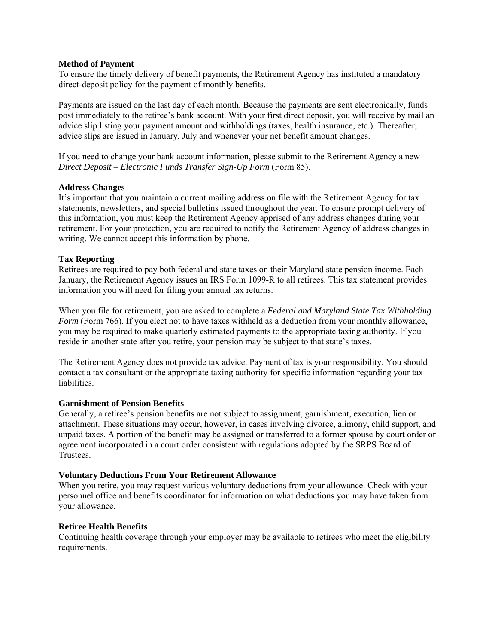#### **Method of Payment**

To ensure the timely delivery of benefit payments, the Retirement Agency has instituted a mandatory direct-deposit policy for the payment of monthly benefits.

Payments are issued on the last day of each month. Because the payments are sent electronically, funds post immediately to the retiree's bank account. With your first direct deposit, you will receive by mail an advice slip listing your payment amount and withholdings (taxes, health insurance, etc.). Thereafter, advice slips are issued in January, July and whenever your net benefit amount changes.

If you need to change your bank account information, please submit to the Retirement Agency a new *Direct Deposit – Electronic Funds Transfer Sign-Up Form* (Form 85).

#### **Address Changes**

It's important that you maintain a current mailing address on file with the Retirement Agency for tax statements, newsletters, and special bulletins issued throughout the year. To ensure prompt delivery of this information, you must keep the Retirement Agency apprised of any address changes during your retirement. For your protection, you are required to notify the Retirement Agency of address changes in writing. We cannot accept this information by phone.

#### **Tax Reporting**

Retirees are required to pay both federal and state taxes on their Maryland state pension income. Each January, the Retirement Agency issues an IRS Form 1099-R to all retirees. This tax statement provides information you will need for filing your annual tax returns.

When you file for retirement, you are asked to complete a *Federal and Maryland State Tax Withholding Form* (Form 766). If you elect not to have taxes withheld as a deduction from your monthly allowance, you may be required to make quarterly estimated payments to the appropriate taxing authority. If you reside in another state after you retire, your pension may be subject to that state's taxes.

The Retirement Agency does not provide tax advice. Payment of tax is your responsibility. You should contact a tax consultant or the appropriate taxing authority for specific information regarding your tax liabilities.

#### **Garnishment of Pension Benefits**

Generally, a retiree's pension benefits are not subject to assignment, garnishment, execution, lien or attachment. These situations may occur, however, in cases involving divorce, alimony, child support, and unpaid taxes. A portion of the benefit may be assigned or transferred to a former spouse by court order or agreement incorporated in a court order consistent with regulations adopted by the SRPS Board of Trustees.

#### **Voluntary Deductions From Your Retirement Allowance**

When you retire, you may request various voluntary deductions from your allowance. Check with your personnel office and benefits coordinator for information on what deductions you may have taken from your allowance.

#### **Retiree Health Benefits**

Continuing health coverage through your employer may be available to retirees who meet the eligibility requirements.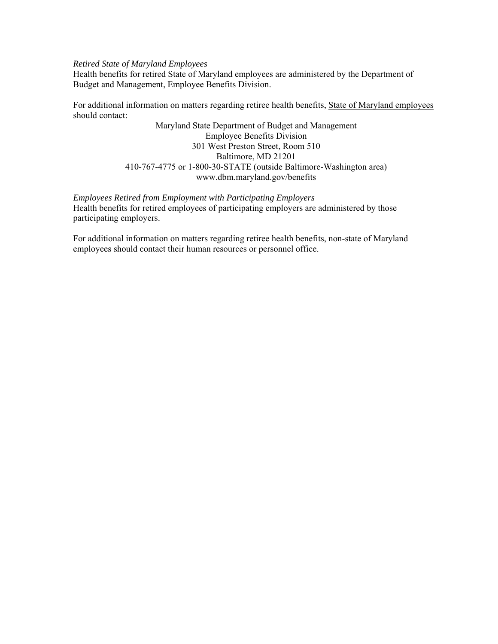#### *Retired State of Maryland Employees*

Health benefits for retired State of Maryland employees are administered by the Department of Budget and Management, Employee Benefits Division.

For additional information on matters regarding retiree health benefits, State of Maryland employees should contact:

> Maryland State Department of Budget and Management Employee Benefits Division 301 West Preston Street, Room 510 Baltimore, MD 21201 410-767-4775 or 1-800-30-STATE (outside Baltimore-Washington area) www.dbm.maryland.gov/benefits

*Employees Retired from Employment with Participating Employers*  Health benefits for retired employees of participating employers are administered by those participating employers.

For additional information on matters regarding retiree health benefits, non-state of Maryland employees should contact their human resources or personnel office.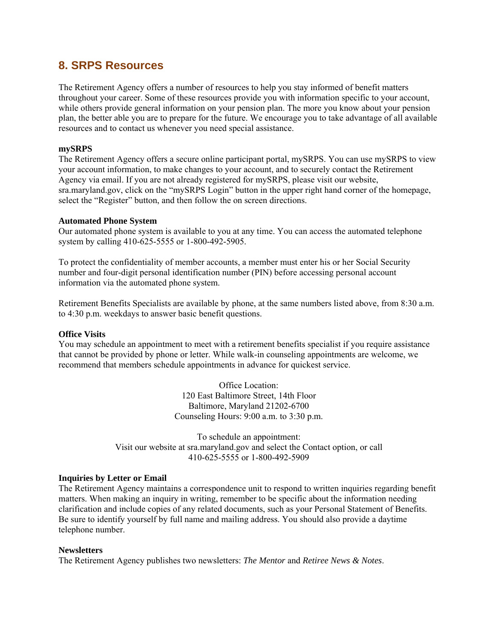# **8. SRPS Resources**

The Retirement Agency offers a number of resources to help you stay informed of benefit matters throughout your career. Some of these resources provide you with information specific to your account, while others provide general information on your pension plan. The more you know about your pension plan, the better able you are to prepare for the future. We encourage you to take advantage of all available resources and to contact us whenever you need special assistance.

#### **mySRPS**

The Retirement Agency offers a secure online participant portal, mySRPS. You can use mySRPS to view your account information, to make changes to your account, and to securely contact the Retirement Agency via email. If you are not already registered for mySRPS, please visit our website, sra.maryland.gov, click on the "mySRPS Login" button in the upper right hand corner of the homepage, select the "Register" button, and then follow the on screen directions.

#### **Automated Phone System**

Our automated phone system is available to you at any time. You can access the automated telephone system by calling 410-625-5555 or 1-800-492-5905.

To protect the confidentiality of member accounts, a member must enter his or her Social Security number and four-digit personal identification number (PIN) before accessing personal account information via the automated phone system.

Retirement Benefits Specialists are available by phone, at the same numbers listed above, from 8:30 a.m. to 4:30 p.m. weekdays to answer basic benefit questions.

#### **Office Visits**

You may schedule an appointment to meet with a retirement benefits specialist if you require assistance that cannot be provided by phone or letter. While walk-in counseling appointments are welcome, we recommend that members schedule appointments in advance for quickest service.

> Office Location: 120 East Baltimore Street, 14th Floor Baltimore, Maryland 21202-6700 Counseling Hours: 9:00 a.m. to 3:30 p.m.

To schedule an appointment: Visit our website at sra.maryland.gov and select the Contact option, or call 410-625-5555 or 1-800-492-5909

#### **Inquiries by Letter or Email**

The Retirement Agency maintains a correspondence unit to respond to written inquiries regarding benefit matters. When making an inquiry in writing, remember to be specific about the information needing clarification and include copies of any related documents, such as your Personal Statement of Benefits. Be sure to identify yourself by full name and mailing address. You should also provide a daytime telephone number.

#### **Newsletters**

The Retirement Agency publishes two newsletters: *The Mentor* and *Retiree News & Notes*.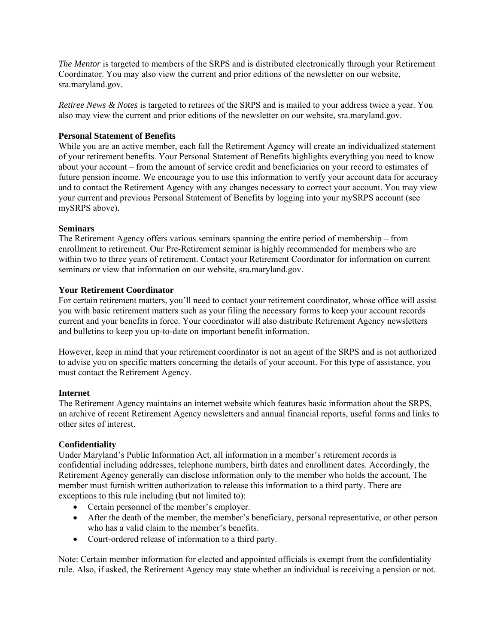*The Mentor* is targeted to members of the SRPS and is distributed electronically through your Retirement Coordinator. You may also view the current and prior editions of the newsletter on our website, sra.maryland.gov.

*Retiree News & Notes* is targeted to retirees of the SRPS and is mailed to your address twice a year. You also may view the current and prior editions of the newsletter on our website, sra.maryland.gov.

#### **Personal Statement of Benefits**

While you are an active member, each fall the Retirement Agency will create an individualized statement of your retirement benefits. Your Personal Statement of Benefits highlights everything you need to know about your account – from the amount of service credit and beneficiaries on your record to estimates of future pension income. We encourage you to use this information to verify your account data for accuracy and to contact the Retirement Agency with any changes necessary to correct your account. You may view your current and previous Personal Statement of Benefits by logging into your mySRPS account (see mySRPS above).

#### **Seminars**

The Retirement Agency offers various seminars spanning the entire period of membership – from enrollment to retirement. Our Pre-Retirement seminar is highly recommended for members who are within two to three years of retirement. Contact your Retirement Coordinator for information on current seminars or view that information on our website, sra.maryland.gov.

#### **Your Retirement Coordinator**

For certain retirement matters, you'll need to contact your retirement coordinator, whose office will assist you with basic retirement matters such as your filing the necessary forms to keep your account records current and your benefits in force. Your coordinator will also distribute Retirement Agency newsletters and bulletins to keep you up-to-date on important benefit information.

However, keep in mind that your retirement coordinator is not an agent of the SRPS and is not authorized to advise you on specific matters concerning the details of your account. For this type of assistance, you must contact the Retirement Agency.

#### **Internet**

The Retirement Agency maintains an internet website which features basic information about the SRPS, an archive of recent Retirement Agency newsletters and annual financial reports, useful forms and links to other sites of interest.

#### **Confidentiality**

Under Maryland's Public Information Act, all information in a member's retirement records is confidential including addresses, telephone numbers, birth dates and enrollment dates. Accordingly, the Retirement Agency generally can disclose information only to the member who holds the account. The member must furnish written authorization to release this information to a third party. There are exceptions to this rule including (but not limited to):

- Certain personnel of the member's employer.
- After the death of the member, the member's beneficiary, personal representative, or other person who has a valid claim to the member's benefits.
- Court-ordered release of information to a third party.

Note: Certain member information for elected and appointed officials is exempt from the confidentiality rule. Also, if asked, the Retirement Agency may state whether an individual is receiving a pension or not.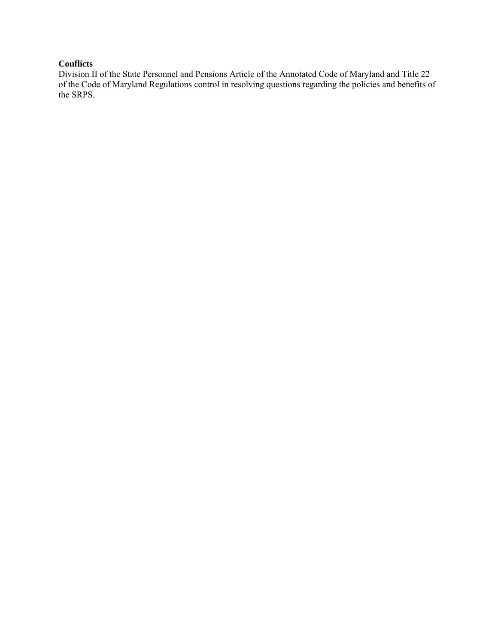### **Conflicts**

Division II of the State Personnel and Pensions Article of the Annotated Code of Maryland and Title 22 of the Code of Maryland Regulations control in resolving questions regarding the policies and benefits of the SRPS.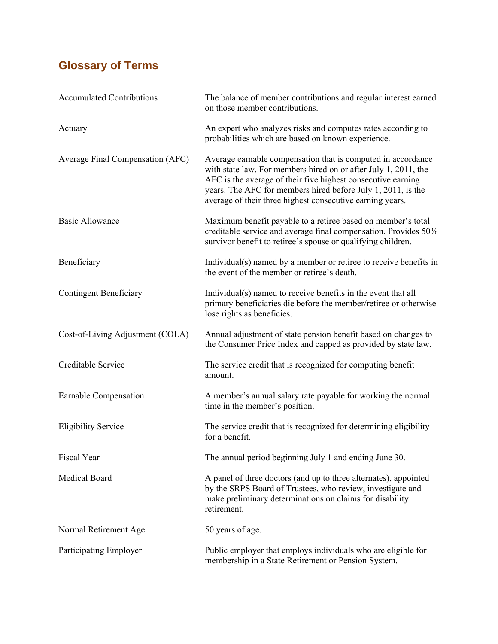# **Glossary of Terms**

| <b>Accumulated Contributions</b> | The balance of member contributions and regular interest earned<br>on those member contributions.                                                                                                                                                                                                                            |
|----------------------------------|------------------------------------------------------------------------------------------------------------------------------------------------------------------------------------------------------------------------------------------------------------------------------------------------------------------------------|
| Actuary                          | An expert who analyzes risks and computes rates according to<br>probabilities which are based on known experience.                                                                                                                                                                                                           |
| Average Final Compensation (AFC) | Average earnable compensation that is computed in accordance<br>with state law. For members hired on or after July 1, 2011, the<br>AFC is the average of their five highest consecutive earning<br>years. The AFC for members hired before July 1, 2011, is the<br>average of their three highest consecutive earning years. |
| <b>Basic Allowance</b>           | Maximum benefit payable to a retiree based on member's total<br>creditable service and average final compensation. Provides 50%<br>survivor benefit to retiree's spouse or qualifying children.                                                                                                                              |
| Beneficiary                      | Individual(s) named by a member or retiree to receive benefits in<br>the event of the member or retiree's death.                                                                                                                                                                                                             |
| <b>Contingent Beneficiary</b>    | Individual(s) named to receive benefits in the event that all<br>primary beneficiaries die before the member/retiree or otherwise<br>lose rights as beneficies.                                                                                                                                                              |
| Cost-of-Living Adjustment (COLA) | Annual adjustment of state pension benefit based on changes to<br>the Consumer Price Index and capped as provided by state law.                                                                                                                                                                                              |
| Creditable Service               | The service credit that is recognized for computing benefit<br>amount.                                                                                                                                                                                                                                                       |
| Earnable Compensation            | A member's annual salary rate payable for working the normal<br>time in the member's position.                                                                                                                                                                                                                               |
| <b>Eligibility Service</b>       | The service credit that is recognized for determining eligibility<br>for a benefit.                                                                                                                                                                                                                                          |
| <b>Fiscal Year</b>               | The annual period beginning July 1 and ending June 30.                                                                                                                                                                                                                                                                       |
| <b>Medical Board</b>             | A panel of three doctors (and up to three alternates), appointed<br>by the SRPS Board of Trustees, who review, investigate and<br>make preliminary determinations on claims for disability<br>retirement.                                                                                                                    |
| Normal Retirement Age            | 50 years of age.                                                                                                                                                                                                                                                                                                             |
| Participating Employer           | Public employer that employs individuals who are eligible for<br>membership in a State Retirement or Pension System.                                                                                                                                                                                                         |